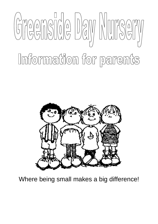



Where being small makes a big difference!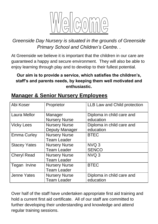

*Greenside Day Nursery is situated in the grounds of Greenside Primary School and Children's Centre. .*

At Greenside we believe it is important that the children in our care are guaranteed a happy and secure environment. They will also be able to enjoy learning through play and to develop to their fullest potential.

#### **Our aim is to provide a service, which satisfies the children's, staff's and parents needs, by keeping them well motivated and enthusiastic.**

| Abi Koser           | Proprietor                                    | <b>LLB Law and Child protection</b>    |
|---------------------|-----------------------------------------------|----------------------------------------|
| <b>Laura Mellor</b> | Manager<br><b>Nursery Nurse</b>               | Diploma in child care and<br>education |
| <b>Vicky Lees</b>   | <b>Nursery Nurse</b><br><b>Deputy Manager</b> | Diploma in child care and<br>education |
| <b>Emma Curley</b>  | <b>Nursery Nurse</b><br><b>Team Leader</b>    | <b>BTEC</b>                            |
| <b>Stacey Yates</b> | <b>Nursery Nurse</b><br><b>Team Leader</b>    | NVQ <sub>3</sub><br><b>SENCO</b>       |
| <b>Cheryl Read</b>  | <b>Nursery Nurse</b><br><b>Team Leader</b>    | NVQ 3                                  |
| Tegan Irvine        | <b>Nursery Nurse</b><br><b>Team Leader</b>    | <b>BTEC</b>                            |
| <b>Jenne Yates</b>  | <b>Nursery Nurse</b><br><b>Team Leader</b>    | Diploma in child care and<br>education |

#### **Manager & Senior Nursery Employees**

Over half of the staff have undertaken appropriate first aid training and hold a current first aid certificate. All of our staff are committed to further developing their understanding and knowledge and attend regular training sessions.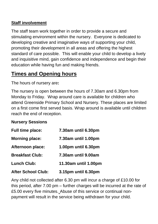#### **Staff involvement**

The staff team work together in order to provide a secure and stimulating environment within the nursery. Everyone is dedicated to developing creative and imaginative ways of supporting your child, promoting their development in all areas and offering the highest standard of care possible. This will enable your child to develop a lively and inquisitive mind, gain confidence and independence and begin their education while having fun and making friends.

### **Times and Opening hours**

The hours of nursery are**:**

The nursery is open between the hours of 7.30am and 6.30pm from Monday to Friday. Wrap around care is available for children who attend Greenside Primary School and Nursery. These places are limited on a first come first served basis. Wrap around is available until children reach the end of reception.

#### **Nursery Sessions**

| <b>Full time place:</b>   | 7.30am until 6.30pm  |
|---------------------------|----------------------|
| <b>Morning place:</b>     | 7.30am until 1.00pm  |
| <b>Afternoon place:</b>   | 1.00pm until 6.30pm  |
| <b>Breakfast Club:</b>    | 7.30am until 9.00am  |
| <b>Lunch Club:</b>        | 11.30am until 1.00pm |
| <b>After School Club:</b> | 3.15pm until 6.30pm  |

Any child not collected after 6.30 pm will incur a charge of £10.00 for this period, after 7.00 pm – further charges will be incurred at the rate of £5.00 every five minutes. Abuse of this service or continual nonpayment will result in the service being withdrawn for your child.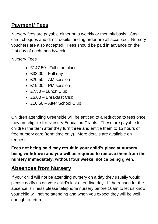# **Payment/ Fees**

Nursery fees are payable either on a weekly or monthly basis. Cash, card, cheques and direct debit/standing order are all accepted. Nursery vouchers are also accepted. Fees should be paid in advance on the first day of each month/week.

#### Nursery Fees

- £147.50– Full time place
- $\textdegree$  £33.00 Full day
- $\cdot$  £20.50 AM session
- £19.00 PM session
- $\cdot$  £7.50 Lunch Club
- £6.00 Breakfast Club
- £10.50 After School Club

Children attending Greenside will be entitled to a reduction to fees once they are eligible for Nursery Education Grants. These are payable for children the term after they turn three and entitle them to 15 hours of free nursery care (term time only). More details are available on request.

**Fees not being paid may result in your child's place at nursery being withdrawn and you will be required to remove them from the nursery immediately, without four weeks' notice being given.**

# **Absences from Nursery**

If your child will not be attending nursery on a day they usually would please notify us on your child's last attending day. If the reason for the absence is illness please telephone nursery before 10am to let us know your child will not be attending and when you expect they will be well enough to return.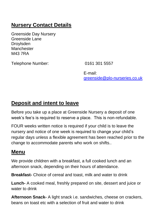# **Nursery Contact Details**

Greenside Day Nursery Greenside Lane Droylsden **Manchester** M43 7RA

Telephone Number: 0161 301 5557

E-mail: [greenside@plo-nurseries.co.uk](mailto:greenside@plo-nurseries.co.uk)

### **Deposit and intent to leave**

Before you take up a place at Greenside Nursery a deposit of one week's fee's is required to reserve a place. This is non-refundable.

FOUR weeks written notice is required if your child is to leave the nursery and notice of one week is required to change your child's regular days unless a flexible agreement has been reached prior to the change to accommodate parents who work on shifts..

### **Menu**

We provide children with a breakfast, a full cooked lunch and an afternoon snack, depending on their hours of attendance.

**Breakfast-** Choice of cereal and toast, milk and water to drink

**Lunch-** A cooked meal, freshly prepared on site, dessert and juice or water to drink

**Afternoon Snack-** A light snack i.e. sandwiches, cheese on crackers, beans on toast etc with a selection of fruit and water to drink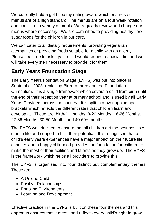We currently hold a gold healthy eating award which ensures our menus are of a high standard. The menus are on a four week rotation and consist of a variety of meals. We regularly review and change our menus where necessary. We are committed to providing healthy, low sugar foods for the children in our care.

We can cater to all dietary requirements, providing vegetarian alternatives or providing foods suitable for a child with an allergy. Please feel free to ask if your child would require a special diet and we will take every step necessary to provide it for them.

# **Early Years Foundation Stage**

The Early Years Foundation Stage (EYFS) was put into place in September 2008, replacing Birth-to-three and the Foundation Curriculum. It is a single framework which covers a child from birth until the end of their reception year at primary school and is used by all Early Years Providers across the country. It is split into overlapping age brackets which reflects the different rates that children learn and develop at. These are: birth-11 months, 8-20 Months, 16-26 Months, 22-36 Months, 30-50 Months and 40-60+ months.

The EYFS was devised to ensure that all children get the best possible start in life and support to fulfil their potential. It is recognised that a child's early years experiences have a major impact on their future life chances and a happy childhood provides the foundation for children to make the most of their abilities and talents as they grow up. The EYFS is the framework which helps all providers to provide this.

The EYFS is organised into four distinct but complementary themes. These are:

- A Unique Child
- Positive Relationships
- Enabling Environments
- Learning and Development

Effective practice in the EYFS is built on these four themes and this approach ensures that it meets and reflects every child's right to grow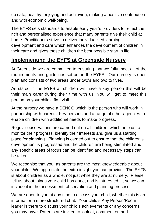up safe, healthy, enjoying and achieving, making a positive contribution and with economic well-being.

The EYFS sets standards to enable early year's providers to reflect the rich and personalised experience that many parents give their child at home. Practitioners strive to deliver individualised learning, development and care which enhances the development of children in their care and gives those children the best possible start in life.

# **Implementing the EYFS at Greenside Nursery**

At Greenside we are committed to ensuring that we fully meet all of the requirements and guidelines set out in the EYFS. Our nursery is open plan and consists of two areas under two's and two to fives.

As stated in the EYFS all children will have a key person this will be their main carer during their time with us. You will get to meet this person on your child's first visit.

At the nursery we have a SENCO which is the person who will work in partnership with parents, Key persons and a range of other agencies to enable children with additional needs to make progress.

Regular observations are carried out on all children, which help us to monitor their progress, identify their interests and give us a starting place for planning. Planning is carried out to ensure that the children's development is progressed and the children are being stimulated and any specific areas of focus can be identified and necessary steps can be taken.

We recognise that you, as parents are the most knowledgeable about your child. We appreciate the extra insight you can provide. The EYFS is about children as a whole, not just while they are at nursery. Please tell us about things your child has done, and is interested in, so we can include it in the assessment, observation and planning process.

We are open to you at any time to discuss your child, whether this is an informal or a more structured chat. Your child's Key Person/Room leader is there to discuss your child's achievements or any concerns you may have. Parents are invited to look at, comment on and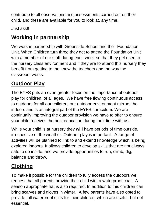contribute to all observations and assessments carried out on their child, and these are available for you to look at, any time.

Just ask!!

# **Working in partnership**

We work in partnership with Greenside School and their Foundation Unit. When Children turn three they get to attend the Foundation Unit with a member of our staff during each week so that they get used to the nursery class environment and if they are to attend this nursery they benefit from getting to the know the teachers and the way the classroom works.

# **Outdoor Play**

The EYFS puts an even greater focus on the importance of outdoor play for children, of all ages. We have free flowing continuous access to outdoors for all our children, our outdoor environment mirrors the indoors and is an integral part of the EYFS curriculum. We are continually improving the outdoor provision we have to offer to ensure your child receives the best education during their time with us.

While your child is at nursery they **will** have periods of time outside, irrespective of the weather. Outdoor play is important. A range of activities will be planned to link to and extend knowledge which is being explored indoors. It allows children to develop skills that are not always safe to do inside, and we provide opportunities to run, climb, dig, balance and throw.

# **Clothing**

To make it possible for the children to fully access the outdoors we request that all parents provide their child with a waterproof coat. A season appropriate hat is also required. In addition to this children can bring scarves and gloves in winter. A few parents have also opted to provide full waterproof suits for their children, which are useful, but not essential.